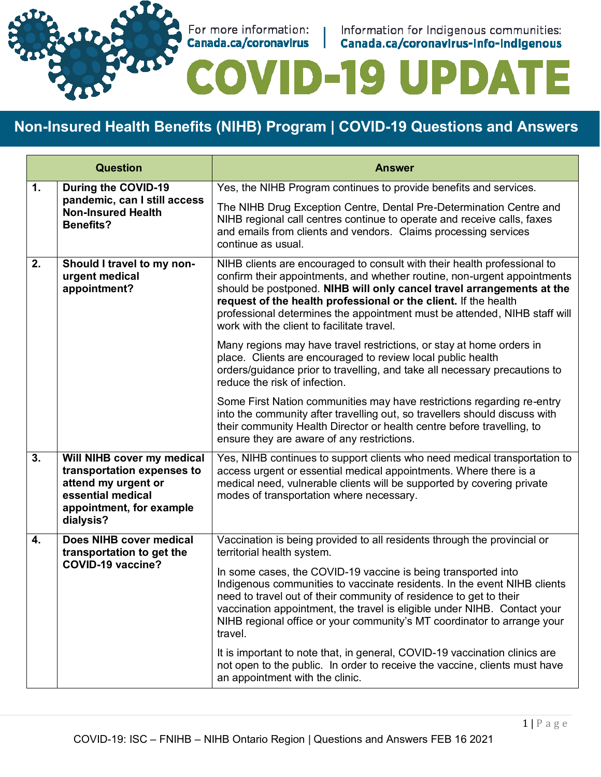

For more information: | Information for Indigenous communities:<br> **Canada.ca/coronavirus | Canada.ca/coronavirus-info-indigenous** 

# **ID-19 UPDA** E

# **Non-Insured Health Benefits (NIHB) Program | COVID-19 Questions and Answers**

| <b>Question</b>           |                                                                                                                                               | <b>Answer</b>                                                                                                                                                                                                                                                                                                                                                                                                               |
|---------------------------|-----------------------------------------------------------------------------------------------------------------------------------------------|-----------------------------------------------------------------------------------------------------------------------------------------------------------------------------------------------------------------------------------------------------------------------------------------------------------------------------------------------------------------------------------------------------------------------------|
| $\mathbf{1}$ .            | During the COVID-19                                                                                                                           | Yes, the NIHB Program continues to provide benefits and services.                                                                                                                                                                                                                                                                                                                                                           |
|                           | pandemic, can I still access<br><b>Non-Insured Health</b><br><b>Benefits?</b>                                                                 | The NIHB Drug Exception Centre, Dental Pre-Determination Centre and<br>NIHB regional call centres continue to operate and receive calls, faxes<br>and emails from clients and vendors. Claims processing services<br>continue as usual.                                                                                                                                                                                     |
| 2.                        | Should I travel to my non-<br>urgent medical<br>appointment?                                                                                  | NIHB clients are encouraged to consult with their health professional to<br>confirm their appointments, and whether routine, non-urgent appointments<br>should be postponed. NIHB will only cancel travel arrangements at the<br>request of the health professional or the client. If the health<br>professional determines the appointment must be attended, NIHB staff will<br>work with the client to facilitate travel. |
|                           |                                                                                                                                               | Many regions may have travel restrictions, or stay at home orders in<br>place. Clients are encouraged to review local public health<br>orders/guidance prior to travelling, and take all necessary precautions to<br>reduce the risk of infection.                                                                                                                                                                          |
|                           |                                                                                                                                               | Some First Nation communities may have restrictions regarding re-entry<br>into the community after travelling out, so travellers should discuss with<br>their community Health Director or health centre before travelling, to<br>ensure they are aware of any restrictions.                                                                                                                                                |
| $\overline{\mathbf{3}}$ . | Will NIHB cover my medical<br>transportation expenses to<br>attend my urgent or<br>essential medical<br>appointment, for example<br>dialysis? | Yes, NIHB continues to support clients who need medical transportation to<br>access urgent or essential medical appointments. Where there is a<br>medical need, vulnerable clients will be supported by covering private<br>modes of transportation where necessary.                                                                                                                                                        |
| 4.                        | Does NIHB cover medical<br>transportation to get the<br><b>COVID-19 vaccine?</b>                                                              | Vaccination is being provided to all residents through the provincial or<br>territorial health system.                                                                                                                                                                                                                                                                                                                      |
|                           |                                                                                                                                               | In some cases, the COVID-19 vaccine is being transported into<br>Indigenous communities to vaccinate residents. In the event NIHB clients<br>need to travel out of their community of residence to get to their<br>vaccination appointment, the travel is eligible under NIHB. Contact your<br>NIHB regional office or your community's MT coordinator to arrange your<br>travel.                                           |
|                           |                                                                                                                                               | It is important to note that, in general, COVID-19 vaccination clinics are<br>not open to the public. In order to receive the vaccine, clients must have<br>an appointment with the clinic.                                                                                                                                                                                                                                 |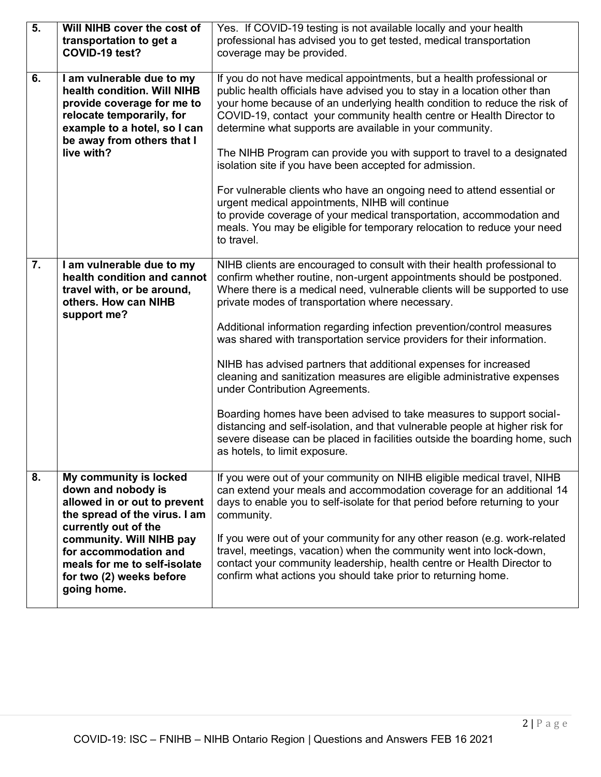| $\overline{5}$ . | Will NIHB cover the cost of                                | Yes. If COVID-19 testing is not available locally and your health                                                                                    |
|------------------|------------------------------------------------------------|------------------------------------------------------------------------------------------------------------------------------------------------------|
|                  | transportation to get a                                    | professional has advised you to get tested, medical transportation                                                                                   |
|                  | COVID-19 test?                                             | coverage may be provided.                                                                                                                            |
|                  |                                                            |                                                                                                                                                      |
| 6.               | I am vulnerable due to my                                  | If you do not have medical appointments, but a health professional or                                                                                |
|                  | health condition. Will NIHB                                | public health officials have advised you to stay in a location other than                                                                            |
|                  | provide coverage for me to                                 | your home because of an underlying health condition to reduce the risk of                                                                            |
|                  | relocate temporarily, for                                  | COVID-19, contact your community health centre or Health Director to                                                                                 |
|                  | example to a hotel, so I can<br>be away from others that I | determine what supports are available in your community.                                                                                             |
|                  | live with?                                                 | The NIHB Program can provide you with support to travel to a designated                                                                              |
|                  |                                                            | isolation site if you have been accepted for admission.                                                                                              |
|                  |                                                            |                                                                                                                                                      |
|                  |                                                            | For vulnerable clients who have an ongoing need to attend essential or<br>urgent medical appointments, NIHB will continue                            |
|                  |                                                            | to provide coverage of your medical transportation, accommodation and                                                                                |
|                  |                                                            | meals. You may be eligible for temporary relocation to reduce your need                                                                              |
|                  |                                                            | to travel.                                                                                                                                           |
|                  |                                                            |                                                                                                                                                      |
| 7.               | I am vulnerable due to my                                  | NIHB clients are encouraged to consult with their health professional to                                                                             |
|                  | health condition and cannot                                | confirm whether routine, non-urgent appointments should be postponed.                                                                                |
|                  | travel with, or be around,<br>others. How can NIHB         | Where there is a medical need, vulnerable clients will be supported to use                                                                           |
|                  | support me?                                                | private modes of transportation where necessary.                                                                                                     |
|                  |                                                            | Additional information regarding infection prevention/control measures                                                                               |
|                  |                                                            | was shared with transportation service providers for their information.                                                                              |
|                  |                                                            |                                                                                                                                                      |
|                  |                                                            | NIHB has advised partners that additional expenses for increased                                                                                     |
|                  |                                                            | cleaning and sanitization measures are eligible administrative expenses                                                                              |
|                  |                                                            | under Contribution Agreements.                                                                                                                       |
|                  |                                                            |                                                                                                                                                      |
|                  |                                                            | Boarding homes have been advised to take measures to support social-<br>distancing and self-isolation, and that vulnerable people at higher risk for |
|                  |                                                            | severe disease can be placed in facilities outside the boarding home, such                                                                           |
|                  |                                                            | as hotels, to limit exposure.                                                                                                                        |
|                  |                                                            |                                                                                                                                                      |
| 8.               | My community is locked                                     | If you were out of your community on NIHB eligible medical travel, NIHB                                                                              |
|                  | down and nobody is                                         | can extend your meals and accommodation coverage for an additional 14                                                                                |
|                  | allowed in or out to prevent                               | days to enable you to self-isolate for that period before returning to your                                                                          |
|                  | the spread of the virus. I am                              | community.                                                                                                                                           |
|                  | currently out of the                                       |                                                                                                                                                      |
|                  | community. Will NIHB pay                                   | If you were out of your community for any other reason (e.g. work-related                                                                            |
|                  | for accommodation and                                      | travel, meetings, vacation) when the community went into lock-down,                                                                                  |
|                  | meals for me to self-isolate                               | contact your community leadership, health centre or Health Director to<br>confirm what actions you should take prior to returning home.              |
|                  | for two (2) weeks before<br>going home.                    |                                                                                                                                                      |
|                  |                                                            |                                                                                                                                                      |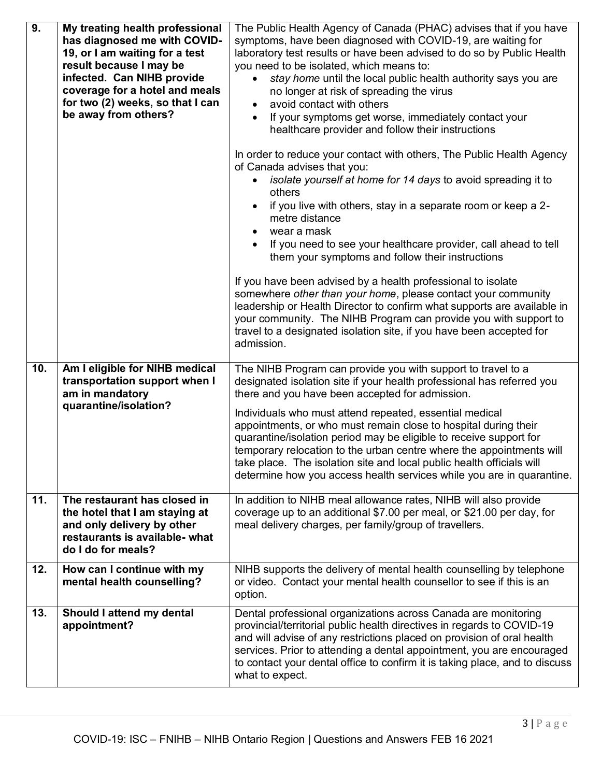| 9.         | My treating health professional<br>has diagnosed me with COVID-<br>19, or I am waiting for a test<br>result because I may be<br>infected. Can NIHB provide<br>coverage for a hotel and meals<br>for two (2) weeks, so that I can<br>be away from others? | The Public Health Agency of Canada (PHAC) advises that if you have<br>symptoms, have been diagnosed with COVID-19, are waiting for<br>laboratory test results or have been advised to do so by Public Health<br>you need to be isolated, which means to:<br>stay home until the local public health authority says you are<br>no longer at risk of spreading the virus<br>avoid contact with others<br>If your symptoms get worse, immediately contact your<br>healthcare provider and follow their instructions<br>In order to reduce your contact with others, The Public Health Agency<br>of Canada advises that you:<br>isolate yourself at home for 14 days to avoid spreading it to<br>others<br>if you live with others, stay in a separate room or keep a 2-<br>metre distance<br>wear a mask<br>If you need to see your healthcare provider, call ahead to tell<br>them your symptoms and follow their instructions<br>If you have been advised by a health professional to isolate<br>somewhere other than your home, please contact your community<br>leadership or Health Director to confirm what supports are available in<br>your community. The NIHB Program can provide you with support to<br>travel to a designated isolation site, if you have been accepted for<br>admission. |
|------------|----------------------------------------------------------------------------------------------------------------------------------------------------------------------------------------------------------------------------------------------------------|----------------------------------------------------------------------------------------------------------------------------------------------------------------------------------------------------------------------------------------------------------------------------------------------------------------------------------------------------------------------------------------------------------------------------------------------------------------------------------------------------------------------------------------------------------------------------------------------------------------------------------------------------------------------------------------------------------------------------------------------------------------------------------------------------------------------------------------------------------------------------------------------------------------------------------------------------------------------------------------------------------------------------------------------------------------------------------------------------------------------------------------------------------------------------------------------------------------------------------------------------------------------------------------------------|
| 10.<br>11. | Am I eligible for NIHB medical<br>transportation support when I<br>am in mandatory<br>quarantine/isolation?<br>The restaurant has closed in                                                                                                              | The NIHB Program can provide you with support to travel to a<br>designated isolation site if your health professional has referred you<br>there and you have been accepted for admission.<br>Individuals who must attend repeated, essential medical<br>appointments, or who must remain close to hospital during their<br>quarantine/isolation period may be eligible to receive support for<br>temporary relocation to the urban centre where the appointments will<br>take place. The isolation site and local public health officials will<br>determine how you access health services while you are in quarantine.<br>In addition to NIHB meal allowance rates, NIHB will also provide                                                                                                                                                                                                                                                                                                                                                                                                                                                                                                                                                                                                        |
|            | the hotel that I am staying at<br>and only delivery by other<br>restaurants is available- what<br>do I do for meals?                                                                                                                                     | coverage up to an additional \$7.00 per meal, or \$21.00 per day, for<br>meal delivery charges, per family/group of travellers.                                                                                                                                                                                                                                                                                                                                                                                                                                                                                                                                                                                                                                                                                                                                                                                                                                                                                                                                                                                                                                                                                                                                                                    |
| 12.        | How can I continue with my<br>mental health counselling?                                                                                                                                                                                                 | NIHB supports the delivery of mental health counselling by telephone<br>or video. Contact your mental health counsellor to see if this is an<br>option.                                                                                                                                                                                                                                                                                                                                                                                                                                                                                                                                                                                                                                                                                                                                                                                                                                                                                                                                                                                                                                                                                                                                            |
| 13.        | Should I attend my dental<br>appointment?                                                                                                                                                                                                                | Dental professional organizations across Canada are monitoring<br>provincial/territorial public health directives in regards to COVID-19<br>and will advise of any restrictions placed on provision of oral health<br>services. Prior to attending a dental appointment, you are encouraged<br>to contact your dental office to confirm it is taking place, and to discuss<br>what to expect.                                                                                                                                                                                                                                                                                                                                                                                                                                                                                                                                                                                                                                                                                                                                                                                                                                                                                                      |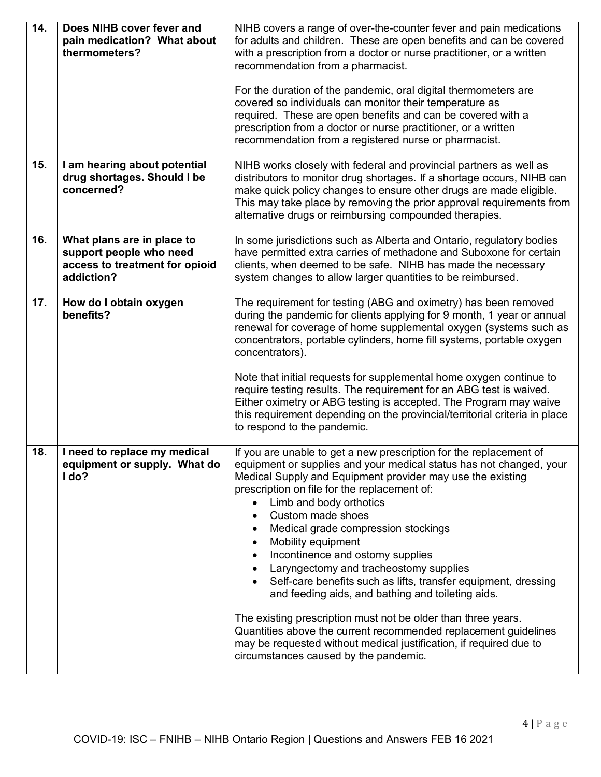| $\overline{14}$ . | Does NIHB cover fever and<br>pain medication? What about<br>thermometers?                             | NIHB covers a range of over-the-counter fever and pain medications<br>for adults and children. These are open benefits and can be covered<br>with a prescription from a doctor or nurse practitioner, or a written<br>recommendation from a pharmacist.<br>For the duration of the pandemic, oral digital thermometers are<br>covered so individuals can monitor their temperature as<br>required. These are open benefits and can be covered with a<br>prescription from a doctor or nurse practitioner, or a written<br>recommendation from a registered nurse or pharmacist.                                                                                                                                                                                                                                              |
|-------------------|-------------------------------------------------------------------------------------------------------|------------------------------------------------------------------------------------------------------------------------------------------------------------------------------------------------------------------------------------------------------------------------------------------------------------------------------------------------------------------------------------------------------------------------------------------------------------------------------------------------------------------------------------------------------------------------------------------------------------------------------------------------------------------------------------------------------------------------------------------------------------------------------------------------------------------------------|
| 15.               | I am hearing about potential<br>drug shortages. Should I be<br>concerned?                             | NIHB works closely with federal and provincial partners as well as<br>distributors to monitor drug shortages. If a shortage occurs, NIHB can<br>make quick policy changes to ensure other drugs are made eligible.<br>This may take place by removing the prior approval requirements from<br>alternative drugs or reimbursing compounded therapies.                                                                                                                                                                                                                                                                                                                                                                                                                                                                         |
| 16.               | What plans are in place to<br>support people who need<br>access to treatment for opioid<br>addiction? | In some jurisdictions such as Alberta and Ontario, regulatory bodies<br>have permitted extra carries of methadone and Suboxone for certain<br>clients, when deemed to be safe. NIHB has made the necessary<br>system changes to allow larger quantities to be reimbursed.                                                                                                                                                                                                                                                                                                                                                                                                                                                                                                                                                    |
| 17.               | How do I obtain oxygen<br>benefits?                                                                   | The requirement for testing (ABG and oximetry) has been removed<br>during the pandemic for clients applying for 9 month, 1 year or annual<br>renewal for coverage of home supplemental oxygen (systems such as<br>concentrators, portable cylinders, home fill systems, portable oxygen<br>concentrators).<br>Note that initial requests for supplemental home oxygen continue to<br>require testing results. The requirement for an ABG test is waived.<br>Either oximetry or ABG testing is accepted. The Program may waive<br>this requirement depending on the provincial/territorial criteria in place<br>to respond to the pandemic.                                                                                                                                                                                   |
| 18.               | I need to replace my medical<br>equipment or supply. What do<br>I do?                                 | If you are unable to get a new prescription for the replacement of<br>equipment or supplies and your medical status has not changed, your<br>Medical Supply and Equipment provider may use the existing<br>prescription on file for the replacement of:<br>Limb and body orthotics<br>Custom made shoes<br>Medical grade compression stockings<br>Mobility equipment<br>Incontinence and ostomy supplies<br>Laryngectomy and tracheostomy supplies<br>Self-care benefits such as lifts, transfer equipment, dressing<br>and feeding aids, and bathing and toileting aids.<br>The existing prescription must not be older than three years.<br>Quantities above the current recommended replacement guidelines<br>may be requested without medical justification, if required due to<br>circumstances caused by the pandemic. |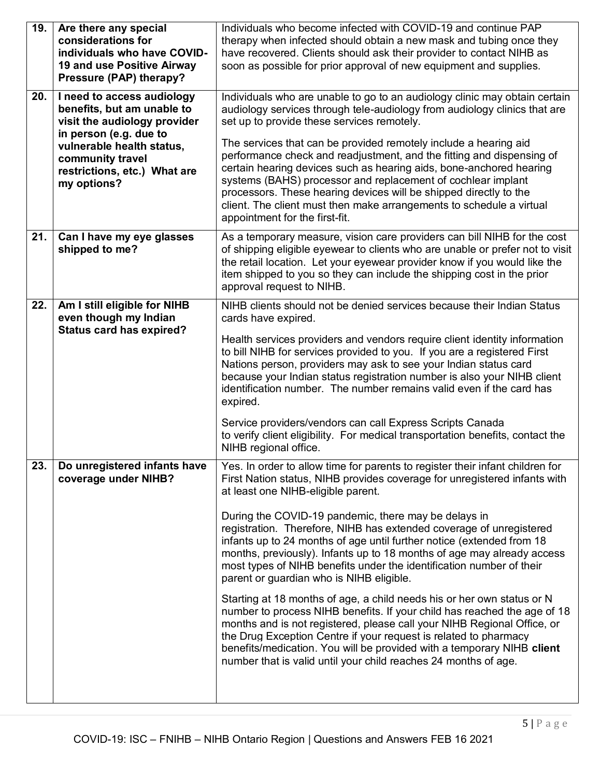| 19. | Are there any special<br>considerations for<br>individuals who have COVID-<br>19 and use Positive Airway<br>Pressure (PAP) therapy? | Individuals who become infected with COVID-19 and continue PAP<br>therapy when infected should obtain a new mask and tubing once they<br>have recovered. Clients should ask their provider to contact NIHB as<br>soon as possible for prior approval of new equipment and supplies.                                                                                                                                                                             |
|-----|-------------------------------------------------------------------------------------------------------------------------------------|-----------------------------------------------------------------------------------------------------------------------------------------------------------------------------------------------------------------------------------------------------------------------------------------------------------------------------------------------------------------------------------------------------------------------------------------------------------------|
| 20. | I need to access audiology<br>benefits, but am unable to<br>visit the audiology provider                                            | Individuals who are unable to go to an audiology clinic may obtain certain<br>audiology services through tele-audiology from audiology clinics that are<br>set up to provide these services remotely.                                                                                                                                                                                                                                                           |
|     | in person (e.g. due to<br>vulnerable health status,<br>community travel<br>restrictions, etc.) What are<br>my options?              | The services that can be provided remotely include a hearing aid<br>performance check and readjustment, and the fitting and dispensing of<br>certain hearing devices such as hearing aids, bone-anchored hearing<br>systems (BAHS) processor and replacement of cochlear implant<br>processors. These hearing devices will be shipped directly to the<br>client. The client must then make arrangements to schedule a virtual<br>appointment for the first-fit. |
| 21. | Can I have my eye glasses<br>shipped to me?                                                                                         | As a temporary measure, vision care providers can bill NIHB for the cost<br>of shipping eligible eyewear to clients who are unable or prefer not to visit<br>the retail location. Let your eyewear provider know if you would like the<br>item shipped to you so they can include the shipping cost in the prior<br>approval request to NIHB.                                                                                                                   |
| 22. | Am I still eligible for NIHB<br>even though my Indian                                                                               | NIHB clients should not be denied services because their Indian Status<br>cards have expired.                                                                                                                                                                                                                                                                                                                                                                   |
|     | <b>Status card has expired?</b>                                                                                                     | Health services providers and vendors require client identity information<br>to bill NIHB for services provided to you. If you are a registered First<br>Nations person, providers may ask to see your Indian status card<br>because your Indian status registration number is also your NIHB client<br>identification number. The number remains valid even if the card has<br>expired.                                                                        |
|     |                                                                                                                                     | Service providers/vendors can call Express Scripts Canada<br>to verify client eligibility. For medical transportation benefits, contact the<br>NIHB regional office.                                                                                                                                                                                                                                                                                            |
| 23. | Do unregistered infants have<br>coverage under NIHB?                                                                                | Yes. In order to allow time for parents to register their infant children for<br>First Nation status, NIHB provides coverage for unregistered infants with<br>at least one NIHB-eligible parent.                                                                                                                                                                                                                                                                |
|     |                                                                                                                                     | During the COVID-19 pandemic, there may be delays in<br>registration. Therefore, NIHB has extended coverage of unregistered<br>infants up to 24 months of age until further notice (extended from 18<br>months, previously). Infants up to 18 months of age may already access<br>most types of NIHB benefits under the identification number of their<br>parent or guardian who is NIHB eligible.                                                              |
|     |                                                                                                                                     | Starting at 18 months of age, a child needs his or her own status or N<br>number to process NIHB benefits. If your child has reached the age of 18<br>months and is not registered, please call your NIHB Regional Office, or<br>the Drug Exception Centre if your request is related to pharmacy<br>benefits/medication. You will be provided with a temporary NIHB client<br>number that is valid until your child reaches 24 months of age.                  |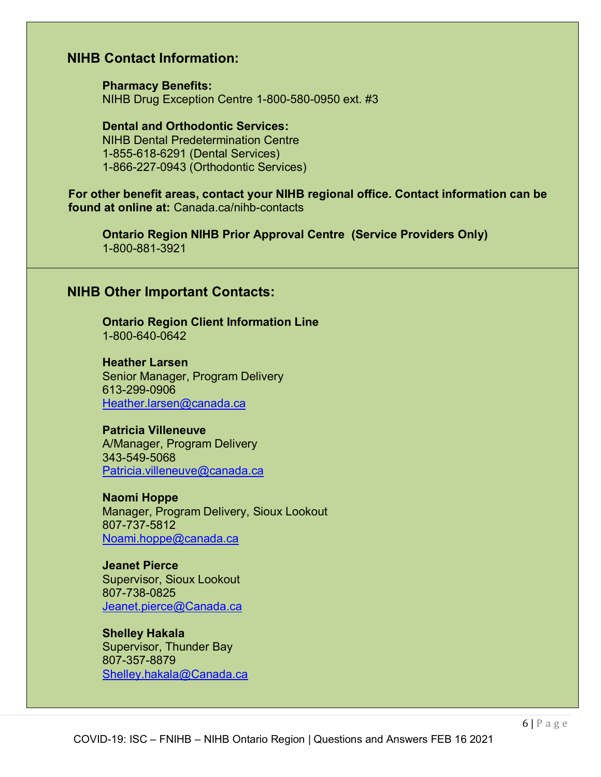## **NIHB Contact Information:**

**Pharmacy Benefits:** NIHB Drug Exception Centre 1-800-580-0950 ext. #3

**Dental and Orthodontic Services:** NIHB Dental Predetermination Centre 1-855-618-6291 (Dental Services) 1-866-227-0943 (Orthodontic Services)

**For other benefit areas, contact your NIHB regional office. Contact information can be found at online at:** Canada.ca/nihb-contacts

**Ontario Region NIHB Prior Approval Centre (Service Providers Only)** 1-800-881-3921

#### **NIHB Other Important Contacts:**

**Ontario Region Client Information Line** 1-800-640-0642

**Heather Larsen** Senior Manager, Program Delivery 613-299-0906 [Heather.larsen@canada.ca](mailto:Heather.larsen@canada.ca)

**Patricia Villeneuve** A/Manager, Program Delivery 343-549-5068 [Patricia.villeneuve@canada.ca](mailto:Patricia.villeneuve@canada.ca)

**Naomi Hoppe** Manager, Program Delivery, Sioux Lookout 807-737-5812 Noami.hoppe@canada.ca

**Jeanet Pierce** Supervisor, Sioux Lookout 807-738-0825 [Jeanet.pierce@Canada.ca](mailto:Jeanet.pierce@Canada.ca)

**Shelley Hakala** Supervisor, Thunder Bay 807-357-8879 [Shelley.hakala@Canada.ca](mailto:Shelley.hakala@Canada.ca)